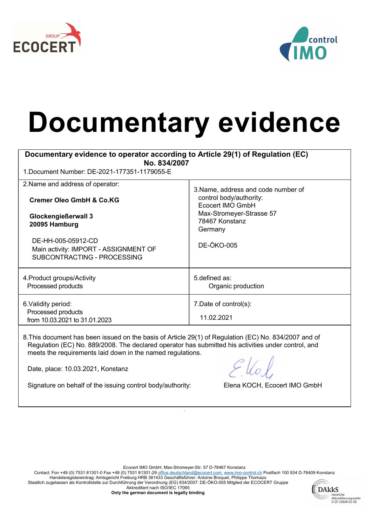



## Documentary evidence

| Documentary evidence to operator according to Article 29(1) of Regulation (EC)<br>No. 834/2007        |                                                                                                                                                                  |  |
|-------------------------------------------------------------------------------------------------------|------------------------------------------------------------------------------------------------------------------------------------------------------------------|--|
| 1. Document Number: DE-2021-177351-1179055-E                                                          |                                                                                                                                                                  |  |
| 2. Name and address of operator:<br><b>Cremer Oleo GmbH &amp; Co.KG</b>                               | 3. Name, address and code number of<br>control body/authority:<br>Ecocert IMO GmbH<br>Max-Stromeyer-Strasse 57<br>78467 Konstanz<br>Germany<br><b>DE-ÖKO-005</b> |  |
| Glockengießerwall 3<br>20095 Hamburg                                                                  |                                                                                                                                                                  |  |
| DE-HH-005-05912-CD<br>Main activity: IMPORT - ASSIGNMENT OF<br>SUBCONTRACTING - PROCESSING            |                                                                                                                                                                  |  |
| 4. Product groups/Activity<br>Processed products                                                      | 5. defined as:<br>Organic production                                                                                                                             |  |
| 6. Validity period:<br>Processed products<br>from 10.03.2021 to 31.01.2023                            | 7. Date of control(s):<br>11.02.2021                                                                                                                             |  |
| 8 This document has been issued on the basis of Article 20(1) of Requisition (EC) No. 831/2007 and of |                                                                                                                                                                  |  |

<code>ument</code> has been issued on the basis of Article 29(1) of Regulation (EC) No. 834/2007 and of Regulation (EC) No. 889/2008. The declared operator has submitted his activities under control, and meets the requirements laid down in the named regulations.

Date, place: 10.03.2021, Konstanz

Signature on behalf of the issuing control body/authority: Elena KOCH, Ecocert IMO GmbH

Ecocert IMO GmbH, Max-Stromeyer-Str. 57 D-78467 Konstanz

.

Contact: Fon +49 (0) 7531 81301-0 Fax +49 (0) 7531 81301-29 <u>office.deutschland@ecocert.com, www.imo-control.ch</u> Postfach 100 934 D-78409 Konstanz Handelsregistereintrag: Amtsgericht Freiburg HRB 381433 Geschäftsführer: Antoine Broquet, Philippe Thomazo Staatlich zugelassen als Kontrollstelle zur Durchführung der Verordnung (EG) 834/2007: DE-ÖKO-005 Mitglied der ECOCERT Gruppe Akkreditiert nach ISO/IEC 17065



Only the german document is legally binding